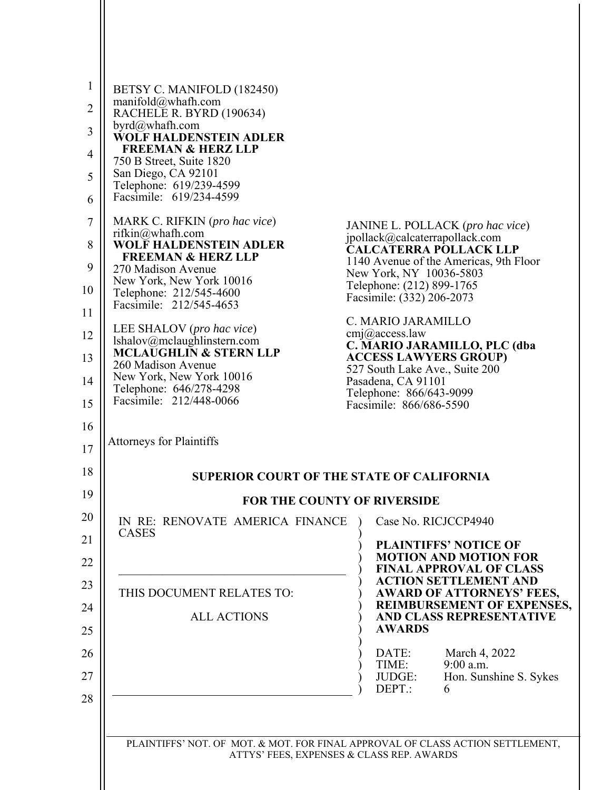| BETSY C. MANIFOLD (182450)                                                           |                                                                                                    |
|--------------------------------------------------------------------------------------|----------------------------------------------------------------------------------------------------|
| manifold@whafh.com<br>RACHELE R. BYRD (190634)                                       |                                                                                                    |
| byrd@whafh.com<br><b>WOLF HALDENSTEIN ADLER</b>                                      |                                                                                                    |
| <b>FREEMAN &amp; HERZ LLP</b><br>750 B Street, Suite 1820                            |                                                                                                    |
| San Diego, CA 92101<br>Telephone: 619/239-4599                                       |                                                                                                    |
| Facsimile: 619/234-4599                                                              |                                                                                                    |
| MARK C. RIFKIN (pro hac vice)<br>rifkin@whafh.com                                    | JANINE L. POLLACK (pro hac vice)<br>jpollack@calcaterrapollack.com                                 |
| <b>WOLF HALDENSTEIN ADLER</b><br><b>FREEMAN &amp; HERZ LLP</b><br>270 Madison Avenue | <b>CALCATERRA POLLACK LLP</b><br>1140 Avenue of the Americas, 9th Floor                            |
| New York, New York 10016<br>Telephone: 212/545-4600                                  | New York, NY 10036-5803<br>Telephone: (212) 899-1765                                               |
| Facsimile: 212/545-4653                                                              | Facsimile: (332) 206-2073<br>C. MARIO JARAMILLO                                                    |
| LEE SHALOV (pro hac vice)<br>lshalov@mclaughlinstern.com                             | $cmj$ <i>(a)</i> access law<br>C. MARIO JARAMILLO, PLC (dba                                        |
| <b>MCLAUGHLIN &amp; STERN LLP</b><br>260 Madison Avenue                              | <b>ACCESS LAWYERS GROUP)</b><br>527 South Lake Ave., Suite 200                                     |
| New York, New York 10016<br>Telephone: 646/278-4298                                  | Pasadena, CA 91101<br>Telephone: 866/643-9099                                                      |
| Facsimile: 212/448-0066                                                              | Facsimile: 866/686-5590                                                                            |
| Attorneys for Plaintiffs                                                             |                                                                                                    |
|                                                                                      | <b>SUPERIOR COURT OF THE STATE OF CALIFORNIA</b>                                                   |
|                                                                                      | FOR THE COUNTY OF RIVERSIDE                                                                        |
| IN RE: RENOVATE AMERICA FINANCE                                                      | Case No. RICJCCP4940                                                                               |
| <b>CASES</b>                                                                         | <b>PLAINTIFFS' NOTICE OF</b><br><b>MOTION AND MOTION FOR</b>                                       |
| THIS DOCUMENT RELATES TO:                                                            | <b>FINAL APPROVAL OF CLASS</b><br><b>ACTION SETTLEMENT AND</b><br><b>AWARD OF ATTORNEYS' FEES,</b> |
| <b>ALL ACTIONS</b>                                                                   | <b>REIMBURSEMENT OF EXPENSES,</b><br>AND CLASS REPRESENTATIVE<br><b>AWARDS</b>                     |
|                                                                                      | DATE:<br>March 4, 2022<br>9:00 a.m.<br>TIME:<br>JUDGE:<br>Hon. Sunshine S. Sykes<br>DEPT.:<br>6    |
|                                                                                      |                                                                                                    |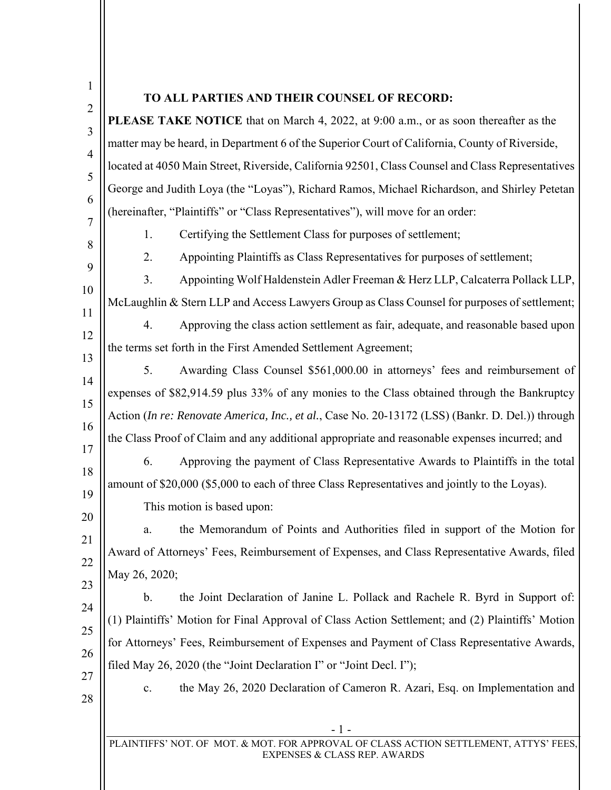|                | <b>PLEASE TAKE NOTICE</b> that on March 4, 2022, at 9:00 a.m., or as soon thereafter as the       |
|----------------|---------------------------------------------------------------------------------------------------|
|                | matter may be heard, in Department 6 of the Superior Court of California, County of Riverside,    |
|                | located at 4050 Main Street, Riverside, California 92501, Class Counsel and Class Representatives |
|                | George and Judith Loya (the "Loyas"), Richard Ramos, Michael Richardson, and Shirley Petetan      |
|                | (hereinafter, "Plaintiffs" or "Class Representatives"), will move for an order:                   |
| 1.             | Certifying the Settlement Class for purposes of settlement;                                       |
| 2.             | Appointing Plaintiffs as Class Representatives for purposes of settlement;                        |
| 3.             | Appointing Wolf Haldenstein Adler Freeman & Herz LLP, Calcaterra Pollack LLP,                     |
|                | McLaughlin & Stern LLP and Access Lawyers Group as Class Counsel for purposes of settlement;      |
| 4.             | Approving the class action settlement as fair, adequate, and reasonable based upon                |
|                | the terms set forth in the First Amended Settlement Agreement;                                    |
| 5.             | Awarding Class Counsel \$561,000.00 in attorneys' fees and reimbursement of                       |
|                | expenses of \$82,914.59 plus 33% of any monies to the Class obtained through the Bankruptcy       |
|                | Action (In re: Renovate America, Inc., et al., Case No. 20-13172 (LSS) (Bankr. D. Del.)) through  |
|                | the Class Proof of Claim and any additional appropriate and reasonable expenses incurred; and     |
| 6.             | Approving the payment of Class Representative Awards to Plaintiffs in the total                   |
|                | amount of \$20,000 (\$5,000 to each of three Class Representatives and jointly to the Loyas).     |
|                | This motion is based upon:                                                                        |
| a.             | the Memorandum of Points and Authorities filed in support of the Motion for                       |
|                | Award of Attorneys' Fees, Reimbursement of Expenses, and Class Representative Awards, filed       |
| May 26, 2020;  |                                                                                                   |
| b.             | the Joint Declaration of Janine L. Pollack and Rachele R. Byrd in Support of:                     |
|                | (1) Plaintiffs' Motion for Final Approval of Class Action Settlement; and (2) Plaintiffs' Motion  |
|                | for Attorneys' Fees, Reimbursement of Expenses and Payment of Class Representative Awards,        |
|                | filed May 26, 2020 (the "Joint Declaration I" or "Joint Decl. I");                                |
| $\mathbf{c}$ . | the May 26, 2020 Declaration of Cameron R. Azari, Esq. on Implementation and                      |
|                |                                                                                                   |
|                | - 1 -                                                                                             |

 $\mathbf{\mathsf{H}}$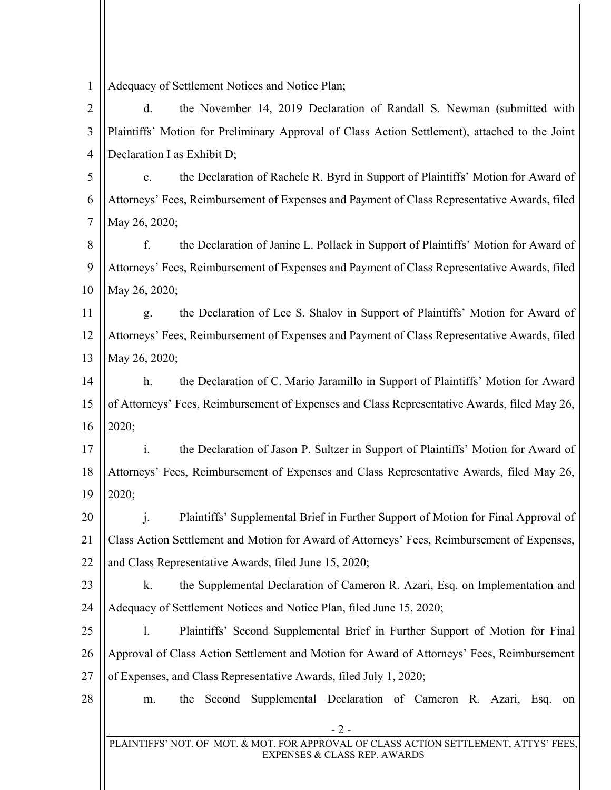| 1              | Adequacy of Settlement Notices and Notice Plan;                                                                       |
|----------------|-----------------------------------------------------------------------------------------------------------------------|
| $\overline{2}$ | the November 14, 2019 Declaration of Randall S. Newman (submitted with<br>d.                                          |
| 3              | Plaintiffs' Motion for Preliminary Approval of Class Action Settlement), attached to the Joint                        |
| $\overline{4}$ | Declaration I as Exhibit D;                                                                                           |
| 5              | the Declaration of Rachele R. Byrd in Support of Plaintiffs' Motion for Award of<br>e.                                |
| 6              | Attorneys' Fees, Reimbursement of Expenses and Payment of Class Representative Awards, filed                          |
| $\tau$         | May 26, 2020;                                                                                                         |
| 8              | f.<br>the Declaration of Janine L. Pollack in Support of Plaintiffs' Motion for Award of                              |
| 9              | Attorneys' Fees, Reimbursement of Expenses and Payment of Class Representative Awards, filed                          |
| 10             | May 26, 2020;                                                                                                         |
| 11             | the Declaration of Lee S. Shalov in Support of Plaintiffs' Motion for Award of<br>g.                                  |
| 12             | Attorneys' Fees, Reimbursement of Expenses and Payment of Class Representative Awards, filed                          |
| 13             | May 26, 2020;                                                                                                         |
| 14             | the Declaration of C. Mario Jaramillo in Support of Plaintiffs' Motion for Award<br>$h_{\cdot}$                       |
| 15             | of Attorneys' Fees, Reimbursement of Expenses and Class Representative Awards, filed May 26,                          |
| 16             | 2020;                                                                                                                 |
| 17             | $\mathbf{i}$ .<br>the Declaration of Jason P. Sultzer in Support of Plaintiffs' Motion for Award of                   |
| 18             | Attorneys' Fees, Reimbursement of Expenses and Class Representative Awards, filed May 26,                             |
| 19             | 2020;                                                                                                                 |
| 20             | Plaintiffs' Supplemental Brief in Further Support of Motion for Final Approval of                                     |
| 21             | Class Action Settlement and Motion for Award of Attorneys' Fees, Reimbursement of Expenses,                           |
| 22             | and Class Representative Awards, filed June 15, 2020;                                                                 |
| 23             | the Supplemental Declaration of Cameron R. Azari, Esq. on Implementation and<br>k.                                    |
| 24             | Adequacy of Settlement Notices and Notice Plan, filed June 15, 2020;                                                  |
| 25             | Plaintiffs' Second Supplemental Brief in Further Support of Motion for Final<br>1.                                    |
| 26             | Approval of Class Action Settlement and Motion for Award of Attorneys' Fees, Reimbursement                            |
| 27             | of Expenses, and Class Representative Awards, filed July 1, 2020;                                                     |
| 28             | the Second Supplemental Declaration of Cameron R. Azari, Esq.<br>m.<br>on                                             |
|                | $-2-$                                                                                                                 |
|                | PLAINTIFFS' NOT. OF MOT. & MOT. FOR APPROVAL OF CLASS ACTION SETTLEMENT, ATTYS' FEES,<br>EXPENSES & CLASS REP. AWARDS |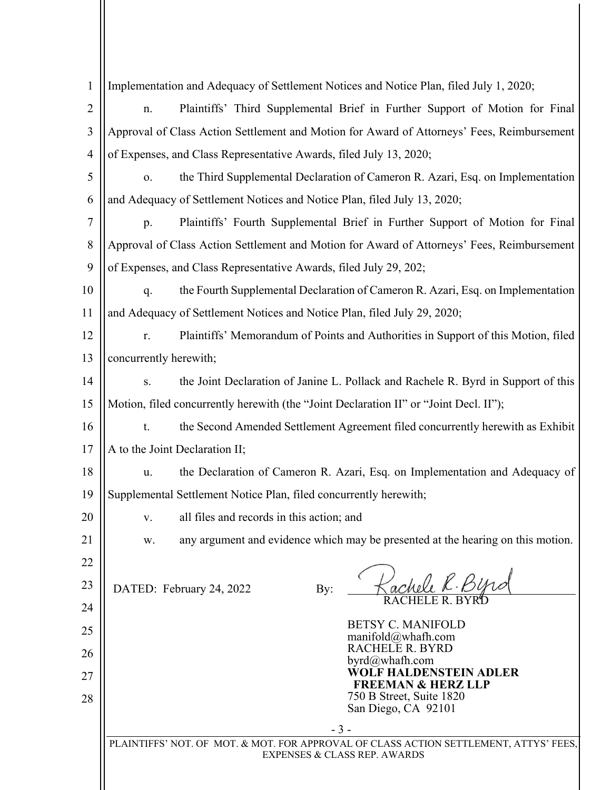| $\mathbf{1}$         | Implementation and Adequacy of Settlement Notices and Notice Plan, filed July 1, 2020;                                                                                |  |  |
|----------------------|-----------------------------------------------------------------------------------------------------------------------------------------------------------------------|--|--|
| $\overline{2}$       | Plaintiffs' Third Supplemental Brief in Further Support of Motion for Final<br>n.                                                                                     |  |  |
| $\mathfrak{Z}$       | Approval of Class Action Settlement and Motion for Award of Attorneys' Fees, Reimbursement                                                                            |  |  |
| 4                    | of Expenses, and Class Representative Awards, filed July 13, 2020;                                                                                                    |  |  |
| 5                    | the Third Supplemental Declaration of Cameron R. Azari, Esq. on Implementation<br>0.                                                                                  |  |  |
| 6                    | and Adequacy of Settlement Notices and Notice Plan, filed July 13, 2020;                                                                                              |  |  |
| $\overline{7}$       | Plaintiffs' Fourth Supplemental Brief in Further Support of Motion for Final<br>p.                                                                                    |  |  |
| 8                    | Approval of Class Action Settlement and Motion for Award of Attorneys' Fees, Reimbursement                                                                            |  |  |
| 9                    | of Expenses, and Class Representative Awards, filed July 29, 202;                                                                                                     |  |  |
| 10                   | the Fourth Supplemental Declaration of Cameron R. Azari, Esq. on Implementation<br>q.                                                                                 |  |  |
| 11                   | and Adequacy of Settlement Notices and Notice Plan, filed July 29, 2020;                                                                                              |  |  |
| 12                   | Plaintiffs' Memorandum of Points and Authorities in Support of this Motion, filed<br>r.                                                                               |  |  |
| 13                   | concurrently herewith;                                                                                                                                                |  |  |
| 14                   | the Joint Declaration of Janine L. Pollack and Rachele R. Byrd in Support of this<br>S.                                                                               |  |  |
| 15                   | Motion, filed concurrently herewith (the "Joint Declaration II" or "Joint Decl. II");                                                                                 |  |  |
| 16                   | the Second Amended Settlement Agreement filed concurrently herewith as Exhibit<br>t.                                                                                  |  |  |
| 17                   | A to the Joint Declaration II;                                                                                                                                        |  |  |
| 18                   | the Declaration of Cameron R. Azari, Esq. on Implementation and Adequacy of<br>u.                                                                                     |  |  |
| 19                   | Supplemental Settlement Notice Plan, filed concurrently herewith;                                                                                                     |  |  |
| 20                   | all files and records in this action; and<br>V.                                                                                                                       |  |  |
| 21                   | any argument and evidence which may be presented at the hearing on this motion.<br>W.                                                                                 |  |  |
| 22<br>23<br>24<br>25 | 4000 R. PIM<br>DATED: February 24, 2022<br>By:<br><b>BETSY C. MANIFOLD</b>                                                                                            |  |  |
| 26<br>27<br>28       | manifold@whafh.com<br>RACHELE R. BYRD<br>byrd@whafh.com<br>WOLF HALDENSTEIN ADLER<br><b>FREEMAN &amp; HERZ LLP</b><br>750 B Street, Suite 1820<br>San Diego, CA 92101 |  |  |
|                      | $-3-$                                                                                                                                                                 |  |  |
|                      | PLAINTIFFS' NOT. OF MOT. & MOT. FOR APPROVAL OF CLASS ACTION SETTLEMENT, ATTYS' FEES,<br><b>EXPENSES &amp; CLASS REP. AWARDS</b>                                      |  |  |